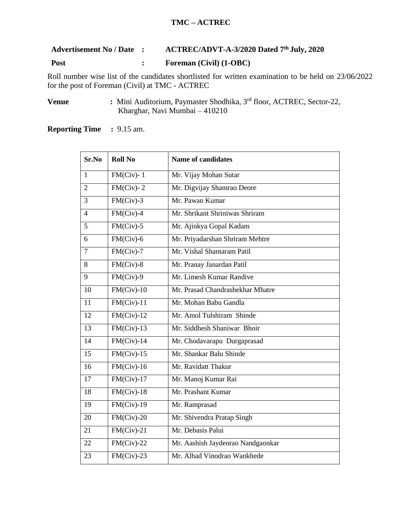## **TMC – ACTREC**

## **Advertisement No / Date : ACTREC/ADVT-A-3/2020 Dated 7 th July, 2020**

## **Post : Foreman (Civil) (1-OBC)**

Roll number wise list of the candidates shortlisted for written examination to be held on 23/06/2022 for the post of Foreman (Civil) at TMC - ACTREC

**Venue** : Mini Auditorium, Paymaster Shodhika, 3<sup>rd</sup> floor, ACTREC, Sector-22, Kharghar, Navi Mumbai – 410210

**Reporting Time :** 9.15 am.

| Sr.No          | <b>Roll No</b> | <b>Name of candidates</b>         |
|----------------|----------------|-----------------------------------|
| $\mathbf{1}$   | $FM(Civ)-1$    | Mr. Vijay Mohan Sutar             |
| $\overline{2}$ | $FM(Civ)-2$    | Mr. Digvijay Shamrao Deore        |
| 3              | $FM(Civ)-3$    | Mr. Pawan Kumar                   |
| $\overline{4}$ | $FM(Civ)-4$    | Mr. Shrikant Shriniwas Shriram    |
| 5              | $FM(Civ)-5$    | Mr. Ajinkya Gopal Kadam           |
| 6              | $FM(Civ)-6$    | Mr. Priyadarshan Shriram Mehtre   |
| $\overline{7}$ | $FM(Civ)-7$    | Mr. Vishal Shantaram Patil        |
| 8              | $FM(Civ)-8$    | Mr. Pranay Janardan Patil         |
| 9              | $FM(Civ)-9$    | Mr. Limesh Kumar Randive          |
| 10             | $FM(Civ)-10$   | Mr. Prasad Chandrashekhar Mhatre  |
| 11             | $FM(Civ)-11$   | Mr. Mohan Babu Gandla             |
| 12             | $FM(Civ)-12$   | Mr. Amol Tulshiram Shinde         |
| 13             | $FM(Civ)-13$   | Mr. Siddhesh Shaniwar Bhoir       |
| 14             | $FM(Civ)$ -14  | Mr. Chodavarapu Durgaprasad       |
| 15             | $FM(Civ)-15$   | Mr. Shankar Balu Shinde           |
| 16             | $FM(Civ)-16$   | Mr. Ravidatt Thakur               |
| 17             | $FM(Civ)-17$   | Mr. Manoj Kumar Rai               |
| 18             | $FM(Civ)-18$   | Mr. Prashant Kumar                |
| 19             | $FM(Civ)-19$   | Mr. Ramprasad                     |
| 20             | $FM(Civ)-20$   | Mr. Shivendra Pratap Singh        |
| 21             | $FM(Civ)-21$   | Mr. Debasis Palui                 |
| 22             | $FM(Civ)-22$   | Mr. Aashish Jaydeorao Nandgaonkar |
| 23             | $FM(Civ)-23$   | Mr. Alhad Vinodrao Wankhede       |